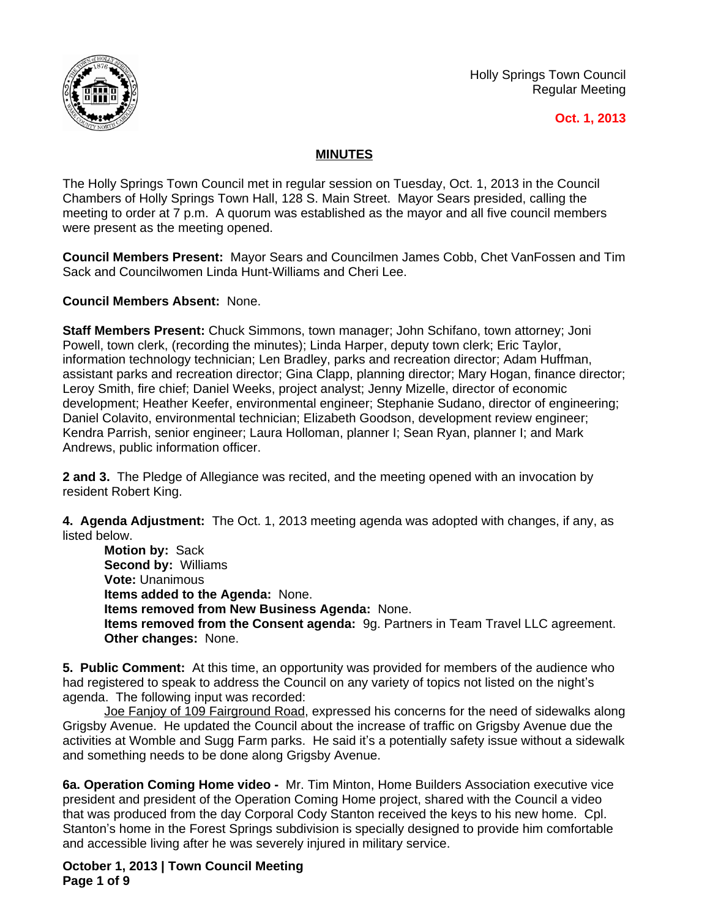

Holly Springs Town Council Regular Meeting

## **Oct. 1, 2013**

## **MINUTES**

The Holly Springs Town Council met in regular session on Tuesday, Oct. 1, 2013 in the Council Chambers of Holly Springs Town Hall, 128 S. Main Street. Mayor Sears presided, calling the meeting to order at 7 p.m. A quorum was established as the mayor and all five council members were present as the meeting opened.

**Council Members Present:** Mayor Sears and Councilmen James Cobb, Chet VanFossen and Tim Sack and Councilwomen Linda Hunt-Williams and Cheri Lee.

**Council Members Absent:** None.

**Staff Members Present:** Chuck Simmons, town manager; John Schifano, town attorney; Joni Powell, town clerk, (recording the minutes); Linda Harper, deputy town clerk; Eric Taylor, information technology technician; Len Bradley, parks and recreation director; Adam Huffman, assistant parks and recreation director; Gina Clapp, planning director; Mary Hogan, finance director; Leroy Smith, fire chief; Daniel Weeks, project analyst; Jenny Mizelle, director of economic development; Heather Keefer, environmental engineer; Stephanie Sudano, director of engineering; Daniel Colavito, environmental technician; Elizabeth Goodson, development review engineer; Kendra Parrish, senior engineer; Laura Holloman, planner I; Sean Ryan, planner I; and Mark Andrews, public information officer.

**2 and 3.** The Pledge of Allegiance was recited, and the meeting opened with an invocation by resident Robert King.

**4. Agenda Adjustment:** The Oct. 1, 2013 meeting agenda was adopted with changes, if any, as listed below.

**Motion by:** Sack **Second by:** Williams **Vote:** Unanimous **Items added to the Agenda:** None. **Items removed from New Business Agenda:** None. **Items removed from the Consent agenda:** 9g. Partners in Team Travel LLC agreement. **Other changes:** None.

**5. Public Comment:** At this time, an opportunity was provided for members of the audience who had registered to speak to address the Council on any variety of topics not listed on the night's agenda. The following input was recorded:

Joe Fanjoy of 109 Fairground Road, expressed his concerns for the need of sidewalks along Grigsby Avenue. He updated the Council about the increase of traffic on Grigsby Avenue due the activities at Womble and Sugg Farm parks. He said it's a potentially safety issue without a sidewalk and something needs to be done along Grigsby Avenue.

**6a. Operation Coming Home video -** Mr. Tim Minton, Home Builders Association executive vice president and president of the Operation Coming Home project, shared with the Council a video that was produced from the day Corporal Cody Stanton received the keys to his new home. Cpl. Stanton's home in the Forest Springs subdivision is specially designed to provide him comfortable and accessible living after he was severely injured in military service.

**October 1, 2013 | Town Council Meeting Page 1 of 9**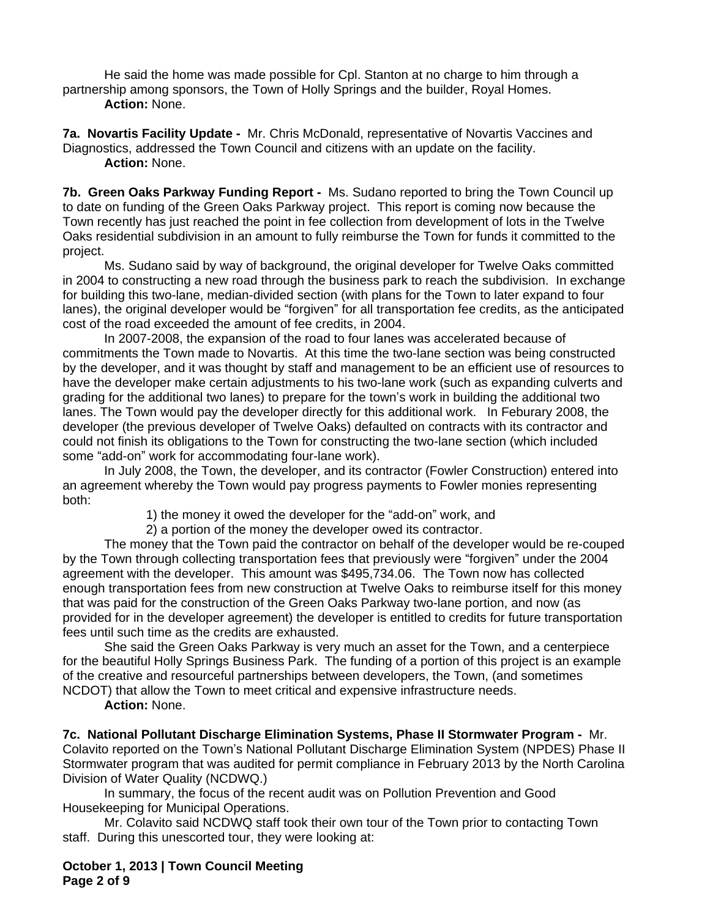He said the home was made possible for Cpl. Stanton at no charge to him through a partnership among sponsors, the Town of Holly Springs and the builder, Royal Homes. **Action:** None.

**7a. Novartis Facility Update -** Mr. Chris McDonald, representative of Novartis Vaccines and Diagnostics, addressed the Town Council and citizens with an update on the facility. **Action:** None.

**7b. Green Oaks Parkway Funding Report -** Ms. Sudano reported to bring the Town Council up to date on funding of the Green Oaks Parkway project. This report is coming now because the Town recently has just reached the point in fee collection from development of lots in the Twelve Oaks residential subdivision in an amount to fully reimburse the Town for funds it committed to the project.

Ms. Sudano said by way of background, the original developer for Twelve Oaks committed in 2004 to constructing a new road through the business park to reach the subdivision. In exchange for building this two-lane, median-divided section (with plans for the Town to later expand to four lanes), the original developer would be "forgiven" for all transportation fee credits, as the anticipated cost of the road exceeded the amount of fee credits, in 2004.

In 2007-2008, the expansion of the road to four lanes was accelerated because of commitments the Town made to Novartis. At this time the two-lane section was being constructed by the developer, and it was thought by staff and management to be an efficient use of resources to have the developer make certain adjustments to his two-lane work (such as expanding culverts and grading for the additional two lanes) to prepare for the town's work in building the additional two lanes. The Town would pay the developer directly for this additional work. In Feburary 2008, the developer (the previous developer of Twelve Oaks) defaulted on contracts with its contractor and could not finish its obligations to the Town for constructing the two-lane section (which included some "add-on" work for accommodating four-lane work).

In July 2008, the Town, the developer, and its contractor (Fowler Construction) entered into an agreement whereby the Town would pay progress payments to Fowler monies representing both:

1) the money it owed the developer for the "add-on" work, and

2) a portion of the money the developer owed its contractor.

The money that the Town paid the contractor on behalf of the developer would be re-couped by the Town through collecting transportation fees that previously were "forgiven" under the 2004 agreement with the developer. This amount was \$495,734.06. The Town now has collected enough transportation fees from new construction at Twelve Oaks to reimburse itself for this money that was paid for the construction of the Green Oaks Parkway two-lane portion, and now (as provided for in the developer agreement) the developer is entitled to credits for future transportation fees until such time as the credits are exhausted.

She said the Green Oaks Parkway is very much an asset for the Town, and a centerpiece for the beautiful Holly Springs Business Park. The funding of a portion of this project is an example of the creative and resourceful partnerships between developers, the Town, (and sometimes NCDOT) that allow the Town to meet critical and expensive infrastructure needs.

**Action:** None.

**7c. National Pollutant Discharge Elimination Systems, Phase II Stormwater Program -** Mr. Colavito reported on the Town's National Pollutant Discharge Elimination System (NPDES) Phase II Stormwater program that was audited for permit compliance in February 2013 by the North Carolina Division of Water Quality (NCDWQ.)

In summary, the focus of the recent audit was on Pollution Prevention and Good Housekeeping for Municipal Operations.

Mr. Colavito said NCDWQ staff took their own tour of the Town prior to contacting Town staff. During this unescorted tour, they were looking at:

**October 1, 2013 | Town Council Meeting Page 2 of 9**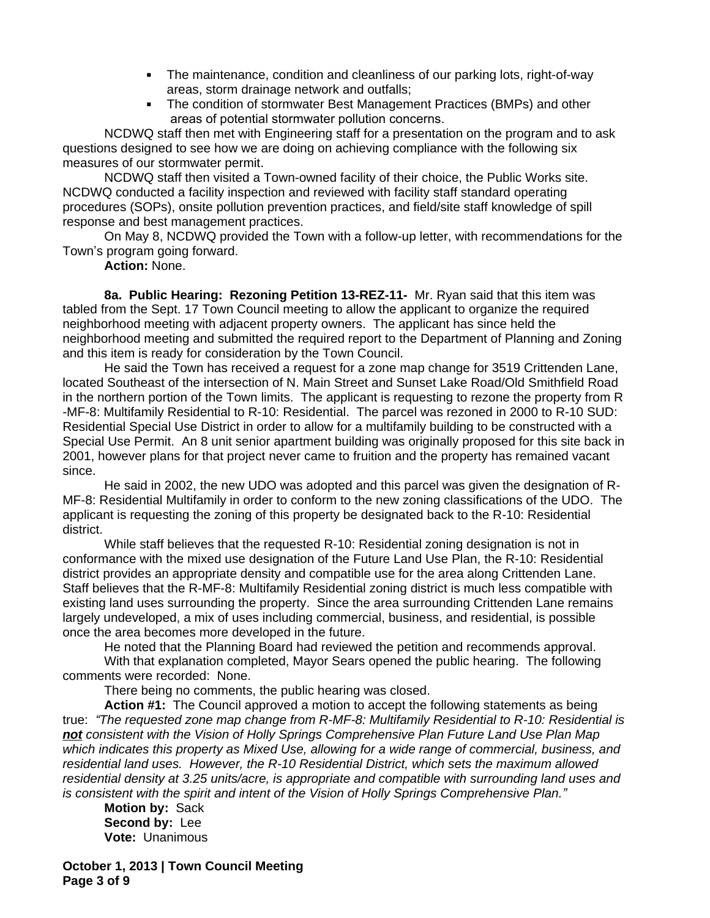- The maintenance, condition and cleanliness of our parking lots, right-of-way areas, storm drainage network and outfalls;
- The condition of stormwater Best Management Practices (BMPs) and other areas of potential stormwater pollution concerns.

NCDWQ staff then met with Engineering staff for a presentation on the program and to ask questions designed to see how we are doing on achieving compliance with the following six measures of our stormwater permit.

NCDWQ staff then visited a Town-owned facility of their choice, the Public Works site. NCDWQ conducted a facility inspection and reviewed with facility staff standard operating procedures (SOPs), onsite pollution prevention practices, and field/site staff knowledge of spill response and best management practices.

On May 8, NCDWQ provided the Town with a follow-up letter, with recommendations for the Town's program going forward.

**Action:** None.

**8a. Public Hearing: Rezoning Petition 13-REZ-11-** Mr. Ryan said that this item was tabled from the Sept. 17 Town Council meeting to allow the applicant to organize the required neighborhood meeting with adjacent property owners. The applicant has since held the neighborhood meeting and submitted the required report to the Department of Planning and Zoning and this item is ready for consideration by the Town Council.

He said the Town has received a request for a zone map change for 3519 Crittenden Lane, located Southeast of the intersection of N. Main Street and Sunset Lake Road/Old Smithfield Road in the northern portion of the Town limits. The applicant is requesting to rezone the property from R -MF-8: Multifamily Residential to R-10: Residential. The parcel was rezoned in 2000 to R-10 SUD: Residential Special Use District in order to allow for a multifamily building to be constructed with a Special Use Permit. An 8 unit senior apartment building was originally proposed for this site back in 2001, however plans for that project never came to fruition and the property has remained vacant since.

He said in 2002, the new UDO was adopted and this parcel was given the designation of R-MF-8: Residential Multifamily in order to conform to the new zoning classifications of the UDO. The applicant is requesting the zoning of this property be designated back to the R-10: Residential district.

While staff believes that the requested R-10: Residential zoning designation is not in conformance with the mixed use designation of the Future Land Use Plan, the R-10: Residential district provides an appropriate density and compatible use for the area along Crittenden Lane. Staff believes that the R-MF-8: Multifamily Residential zoning district is much less compatible with existing land uses surrounding the property. Since the area surrounding Crittenden Lane remains largely undeveloped, a mix of uses including commercial, business, and residential, is possible once the area becomes more developed in the future.

He noted that the Planning Board had reviewed the petition and recommends approval.

With that explanation completed, Mayor Sears opened the public hearing. The following comments were recorded: None.

There being no comments, the public hearing was closed.

**Action #1:** The Council approved a motion to accept the following statements as being true: *"The requested zone map change from R-MF-8: Multifamily Residential to R-10: Residential is not consistent with the Vision of Holly Springs Comprehensive Plan Future Land Use Plan Map which indicates this property as Mixed Use, allowing for a wide range of commercial, business, and residential land uses. However, the R-10 Residential District, which sets the maximum allowed residential density at 3.25 units/acre, is appropriate and compatible with surrounding land uses and is consistent with the spirit and intent of the Vision of Holly Springs Comprehensive Plan."*

**Motion by:** Sack **Second by:** Lee **Vote:** Unanimous

**October 1, 2013 | Town Council Meeting Page 3 of 9**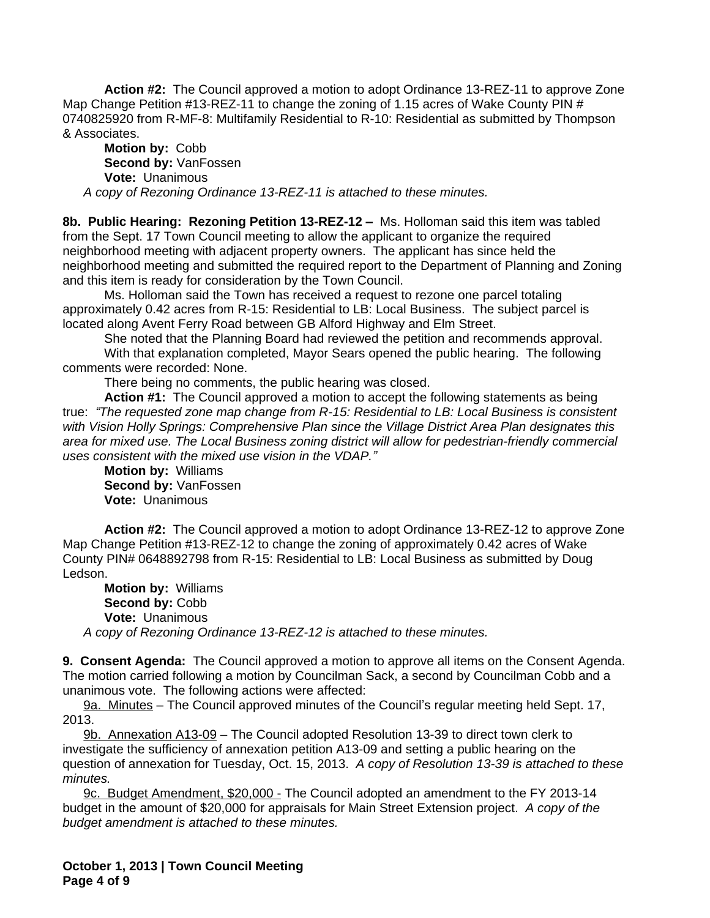**Action #2:** The Council approved a motion to adopt Ordinance 13-REZ-11 to approve Zone Map Change Petition #13-REZ-11 to change the zoning of 1.15 acres of Wake County PIN # 0740825920 from R-MF-8: Multifamily Residential to R-10: Residential as submitted by Thompson & Associates.

**Motion by:** Cobb **Second by:** VanFossen **Vote:** Unanimous *A copy of Rezoning Ordinance 13-REZ-11 is attached to these minutes.*

**8b. Public Hearing: Rezoning Petition 13-REZ-12 –** Ms. Holloman said this item was tabled from the Sept. 17 Town Council meeting to allow the applicant to organize the required neighborhood meeting with adjacent property owners. The applicant has since held the neighborhood meeting and submitted the required report to the Department of Planning and Zoning and this item is ready for consideration by the Town Council.

Ms. Holloman said the Town has received a request to rezone one parcel totaling approximately 0.42 acres from R-15: Residential to LB: Local Business. The subject parcel is located along Avent Ferry Road between GB Alford Highway and Elm Street.

She noted that the Planning Board had reviewed the petition and recommends approval. With that explanation completed, Mayor Sears opened the public hearing. The following comments were recorded: None.

There being no comments, the public hearing was closed.

**Action #1:** The Council approved a motion to accept the following statements as being true: *"The requested zone map change from R-15: Residential to LB: Local Business is consistent with Vision Holly Springs: Comprehensive Plan since the Village District Area Plan designates this area for mixed use. The Local Business zoning district will allow for pedestrian-friendly commercial uses consistent with the mixed use vision in the VDAP."*

**Motion by:** Williams **Second by:** VanFossen **Vote:** Unanimous

**Action #2:** The Council approved a motion to adopt Ordinance 13-REZ-12 to approve Zone Map Change Petition #13-REZ-12 to change the zoning of approximately 0.42 acres of Wake County PIN# 0648892798 from R-15: Residential to LB: Local Business as submitted by Doug Ledson.

**Motion by:** Williams Second by: Cobb **Vote:** Unanimous *A copy of Rezoning Ordinance 13-REZ-12 is attached to these minutes.*

**9. Consent Agenda:** The Council approved a motion to approve all items on the Consent Agenda. The motion carried following a motion by Councilman Sack, a second by Councilman Cobb and a unanimous vote. The following actions were affected:

9a. Minutes – The Council approved minutes of the Council's regular meeting held Sept. 17, 2013.

9b. Annexation A13-09 – The Council adopted Resolution 13-39 to direct town clerk to investigate the sufficiency of annexation petition A13-09 and setting a public hearing on the question of annexation for Tuesday, Oct. 15, 2013. *A copy of Resolution 13-39 is attached to these minutes.*

9c. Budget Amendment, \$20,000 - The Council adopted an amendment to the FY 2013-14 budget in the amount of \$20,000 for appraisals for Main Street Extension project. *A copy of the budget amendment is attached to these minutes.*

**October 1, 2013 | Town Council Meeting Page 4 of 9**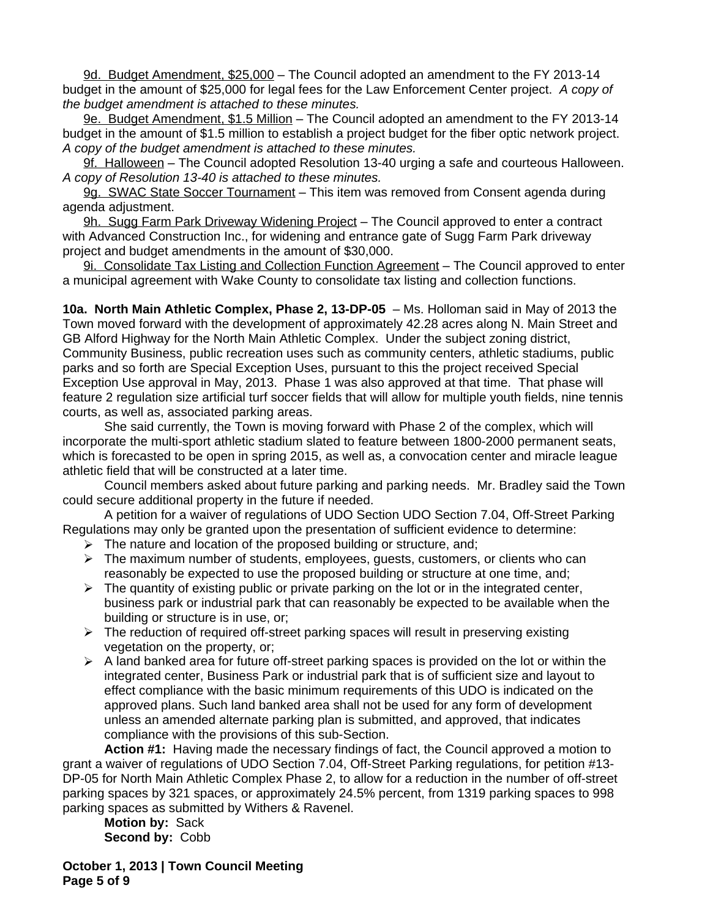9d. Budget Amendment, \$25,000 – The Council adopted an amendment to the FY 2013-14 budget in the amount of \$25,000 for legal fees for the Law Enforcement Center project. *A copy of the budget amendment is attached to these minutes.* 

9e. Budget Amendment, \$1.5 Million – The Council adopted an amendment to the FY 2013-14 budget in the amount of \$1.5 million to establish a project budget for the fiber optic network project. *A copy of the budget amendment is attached to these minutes.*

9f. Halloween – The Council adopted Resolution 13-40 urging a safe and courteous Halloween. *A copy of Resolution 13-40 is attached to these minutes.*

9g. SWAC State Soccer Tournament – This item was removed from Consent agenda during agenda adjustment.

9h. Sugg Farm Park Driveway Widening Project - The Council approved to enter a contract with Advanced Construction Inc., for widening and entrance gate of Sugg Farm Park driveway project and budget amendments in the amount of \$30,000.

9i. Consolidate Tax Listing and Collection Function Agreement – The Council approved to enter a municipal agreement with Wake County to consolidate tax listing and collection functions.

**10a. North Main Athletic Complex, Phase 2, 13-DP-05** – Ms. Holloman said in May of 2013 the Town moved forward with the development of approximately 42.28 acres along N. Main Street and GB Alford Highway for the North Main Athletic Complex. Under the subject zoning district, Community Business, public recreation uses such as community centers, athletic stadiums, public parks and so forth are Special Exception Uses, pursuant to this the project received Special Exception Use approval in May, 2013. Phase 1 was also approved at that time. That phase will feature 2 regulation size artificial turf soccer fields that will allow for multiple youth fields, nine tennis courts, as well as, associated parking areas.

She said currently, the Town is moving forward with Phase 2 of the complex, which will incorporate the multi-sport athletic stadium slated to feature between 1800-2000 permanent seats, which is forecasted to be open in spring 2015, as well as, a convocation center and miracle league athletic field that will be constructed at a later time.

Council members asked about future parking and parking needs. Mr. Bradley said the Town could secure additional property in the future if needed.

A petition for a waiver of regulations of UDO Section UDO Section 7.04, Off-Street Parking Regulations may only be granted upon the presentation of sufficient evidence to determine:

- $\triangleright$  The nature and location of the proposed building or structure, and:
- $\triangleright$  The maximum number of students, employees, quests, customers, or clients who can reasonably be expected to use the proposed building or structure at one time, and;
- $\triangleright$  The quantity of existing public or private parking on the lot or in the integrated center, business park or industrial park that can reasonably be expected to be available when the building or structure is in use, or;
- $\triangleright$  The reduction of required off-street parking spaces will result in preserving existing vegetation on the property, or;
- $\triangleright$  A land banked area for future off-street parking spaces is provided on the lot or within the integrated center, Business Park or industrial park that is of sufficient size and layout to effect compliance with the basic minimum requirements of this UDO is indicated on the approved plans. Such land banked area shall not be used for any form of development unless an amended alternate parking plan is submitted, and approved, that indicates compliance with the provisions of this sub-Section.

**Action #1:** Having made the necessary findings of fact, the Council approved a motion to grant a waiver of regulations of UDO Section 7.04, Off-Street Parking regulations, for petition #13- DP-05 for North Main Athletic Complex Phase 2, to allow for a reduction in the number of off-street parking spaces by 321 spaces, or approximately 24.5% percent, from 1319 parking spaces to 998 parking spaces as submitted by Withers & Ravenel.

**Motion by:** Sack **Second by:** Cobb

**October 1, 2013 | Town Council Meeting Page 5 of 9**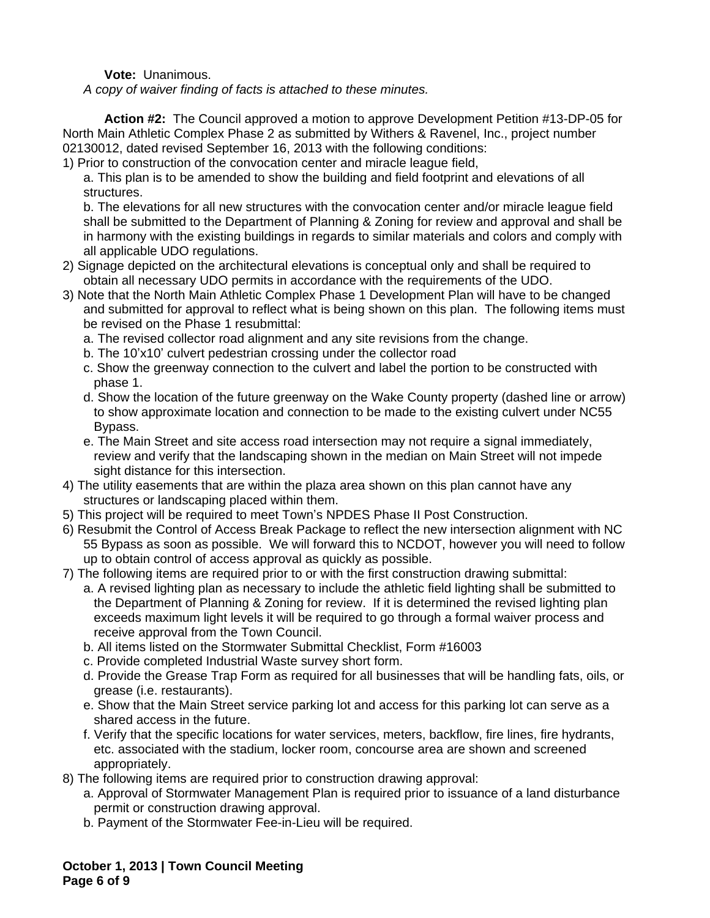**Vote:** Unanimous.

*A copy of waiver finding of facts is attached to these minutes.*

**Action #2:** The Council approved a motion to approve Development Petition #13-DP-05 for North Main Athletic Complex Phase 2 as submitted by Withers & Ravenel, Inc., project number 02130012, dated revised September 16, 2013 with the following conditions:

1) Prior to construction of the convocation center and miracle league field,

a. This plan is to be amended to show the building and field footprint and elevations of all structures.

b. The elevations for all new structures with the convocation center and/or miracle league field shall be submitted to the Department of Planning & Zoning for review and approval and shall be in harmony with the existing buildings in regards to similar materials and colors and comply with all applicable UDO regulations.

- 2) Signage depicted on the architectural elevations is conceptual only and shall be required to obtain all necessary UDO permits in accordance with the requirements of the UDO.
- 3) Note that the North Main Athletic Complex Phase 1 Development Plan will have to be changed and submitted for approval to reflect what is being shown on this plan. The following items must be revised on the Phase 1 resubmittal:
	- a. The revised collector road alignment and any site revisions from the change.
	- b. The 10'x10' culvert pedestrian crossing under the collector road
	- c. Show the greenway connection to the culvert and label the portion to be constructed with phase 1.
	- d. Show the location of the future greenway on the Wake County property (dashed line or arrow) to show approximate location and connection to be made to the existing culvert under NC55 Bypass.
	- e. The Main Street and site access road intersection may not require a signal immediately, review and verify that the landscaping shown in the median on Main Street will not impede sight distance for this intersection.
- 4) The utility easements that are within the plaza area shown on this plan cannot have any structures or landscaping placed within them.
- 5) This project will be required to meet Town's NPDES Phase II Post Construction.
- 6) Resubmit the Control of Access Break Package to reflect the new intersection alignment with NC 55 Bypass as soon as possible. We will forward this to NCDOT, however you will need to follow up to obtain control of access approval as quickly as possible.
- 7) The following items are required prior to or with the first construction drawing submittal:
	- a. A revised lighting plan as necessary to include the athletic field lighting shall be submitted to the Department of Planning & Zoning for review. If it is determined the revised lighting plan exceeds maximum light levels it will be required to go through a formal waiver process and receive approval from the Town Council.
	- b. All items listed on the Stormwater Submittal Checklist, Form #16003
	- c. Provide completed Industrial Waste survey short form.
	- d. Provide the Grease Trap Form as required for all businesses that will be handling fats, oils, or grease (i.e. restaurants).
	- e. Show that the Main Street service parking lot and access for this parking lot can serve as a shared access in the future.
	- f. Verify that the specific locations for water services, meters, backflow, fire lines, fire hydrants, etc. associated with the stadium, locker room, concourse area are shown and screened appropriately.
- 8) The following items are required prior to construction drawing approval:
	- a. Approval of Stormwater Management Plan is required prior to issuance of a land disturbance permit or construction drawing approval.
	- b. Payment of the Stormwater Fee-in-Lieu will be required.

**October 1, 2013 | Town Council Meeting Page 6 of 9**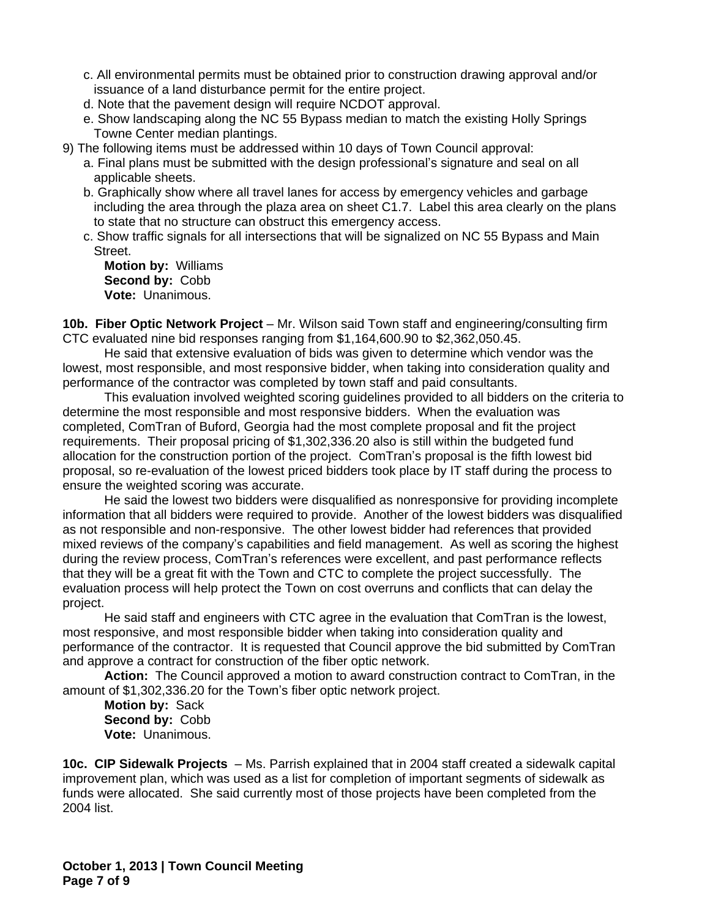- c. All environmental permits must be obtained prior to construction drawing approval and/or issuance of a land disturbance permit for the entire project.
- d. Note that the pavement design will require NCDOT approval.
- e. Show landscaping along the NC 55 Bypass median to match the existing Holly Springs Towne Center median plantings.
- 9) The following items must be addressed within 10 days of Town Council approval:
	- a. Final plans must be submitted with the design professional's signature and seal on all applicable sheets.
	- b. Graphically show where all travel lanes for access by emergency vehicles and garbage including the area through the plaza area on sheet C1.7. Label this area clearly on the plans to state that no structure can obstruct this emergency access.
	- c. Show traffic signals for all intersections that will be signalized on NC 55 Bypass and Main Street.

**Motion by:** Williams **Second by:** Cobb **Vote:** Unanimous.

**10b. Fiber Optic Network Project** – Mr. Wilson said Town staff and engineering/consulting firm CTC evaluated nine bid responses ranging from \$1,164,600.90 to \$2,362,050.45.

He said that extensive evaluation of bids was given to determine which vendor was the lowest, most responsible, and most responsive bidder, when taking into consideration quality and performance of the contractor was completed by town staff and paid consultants.

This evaluation involved weighted scoring guidelines provided to all bidders on the criteria to determine the most responsible and most responsive bidders. When the evaluation was completed, ComTran of Buford, Georgia had the most complete proposal and fit the project requirements. Their proposal pricing of \$1,302,336.20 also is still within the budgeted fund allocation for the construction portion of the project. ComTran's proposal is the fifth lowest bid proposal, so re-evaluation of the lowest priced bidders took place by IT staff during the process to ensure the weighted scoring was accurate.

He said the lowest two bidders were disqualified as nonresponsive for providing incomplete information that all bidders were required to provide. Another of the lowest bidders was disqualified as not responsible and non-responsive. The other lowest bidder had references that provided mixed reviews of the company's capabilities and field management. As well as scoring the highest during the review process, ComTran's references were excellent, and past performance reflects that they will be a great fit with the Town and CTC to complete the project successfully. The evaluation process will help protect the Town on cost overruns and conflicts that can delay the project.

He said staff and engineers with CTC agree in the evaluation that ComTran is the lowest, most responsive, and most responsible bidder when taking into consideration quality and performance of the contractor. It is requested that Council approve the bid submitted by ComTran and approve a contract for construction of the fiber optic network.

**Action:** The Council approved a motion to award construction contract to ComTran, in the amount of \$1,302,336.20 for the Town's fiber optic network project.

**Motion by:** Sack **Second by:** Cobb **Vote:** Unanimous.

**10c. CIP Sidewalk Projects** – Ms. Parrish explained that in 2004 staff created a sidewalk capital improvement plan, which was used as a list for completion of important segments of sidewalk as funds were allocated. She said currently most of those projects have been completed from the 2004 list.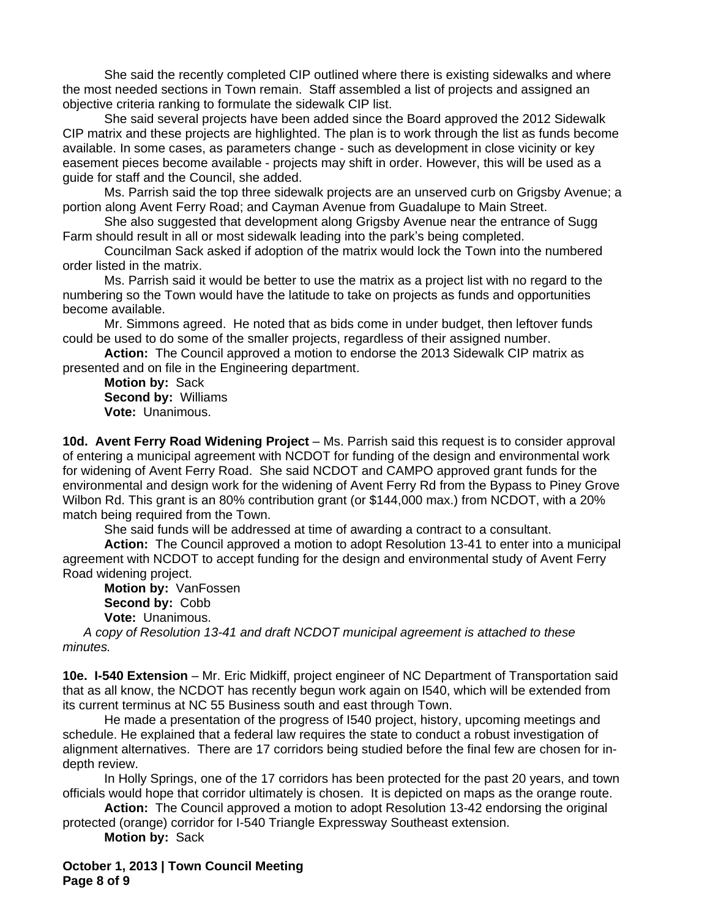She said the recently completed CIP outlined where there is existing sidewalks and where the most needed sections in Town remain. Staff assembled a list of projects and assigned an objective criteria ranking to formulate the sidewalk CIP list.

She said several projects have been added since the Board approved the 2012 Sidewalk CIP matrix and these projects are highlighted. The plan is to work through the list as funds become available. In some cases, as parameters change - such as development in close vicinity or key easement pieces become available - projects may shift in order. However, this will be used as a guide for staff and the Council, she added.

Ms. Parrish said the top three sidewalk projects are an unserved curb on Grigsby Avenue; a portion along Avent Ferry Road; and Cayman Avenue from Guadalupe to Main Street.

She also suggested that development along Grigsby Avenue near the entrance of Sugg Farm should result in all or most sidewalk leading into the park's being completed.

Councilman Sack asked if adoption of the matrix would lock the Town into the numbered order listed in the matrix.

Ms. Parrish said it would be better to use the matrix as a project list with no regard to the numbering so the Town would have the latitude to take on projects as funds and opportunities become available.

Mr. Simmons agreed. He noted that as bids come in under budget, then leftover funds could be used to do some of the smaller projects, regardless of their assigned number.

**Action:** The Council approved a motion to endorse the 2013 Sidewalk CIP matrix as presented and on file in the Engineering department.

**Motion by:** Sack **Second by:** Williams **Vote:** Unanimous.

**10d. Avent Ferry Road Widening Project** – Ms. Parrish said this request is to consider approval of entering a municipal agreement with NCDOT for funding of the design and environmental work for widening of Avent Ferry Road. She said NCDOT and CAMPO approved grant funds for the environmental and design work for the widening of Avent Ferry Rd from the Bypass to Piney Grove Wilbon Rd. This grant is an 80% contribution grant (or \$144,000 max.) from NCDOT, with a 20% match being required from the Town.

She said funds will be addressed at time of awarding a contract to a consultant.

**Action:** The Council approved a motion to adopt Resolution 13-41 to enter into a municipal agreement with NCDOT to accept funding for the design and environmental study of Avent Ferry Road widening project.

**Motion by:** VanFossen **Second by:** Cobb **Vote:** Unanimous.

*A copy of Resolution 13-41 and draft NCDOT municipal agreement is attached to these minutes.*

**10e. I-540 Extension** – Mr. Eric Midkiff, project engineer of NC Department of Transportation said that as all know, the NCDOT has recently begun work again on I540, which will be extended from its current terminus at NC 55 Business south and east through Town.

He made a presentation of the progress of I540 project, history, upcoming meetings and schedule. He explained that a federal law requires the state to conduct a robust investigation of alignment alternatives. There are 17 corridors being studied before the final few are chosen for indepth review.

In Holly Springs, one of the 17 corridors has been protected for the past 20 years, and town officials would hope that corridor ultimately is chosen. It is depicted on maps as the orange route.

**Action:** The Council approved a motion to adopt Resolution 13-42 endorsing the original protected (orange) corridor for I-540 Triangle Expressway Southeast extension.

**Motion by:** Sack

**October 1, 2013 | Town Council Meeting Page 8 of 9**